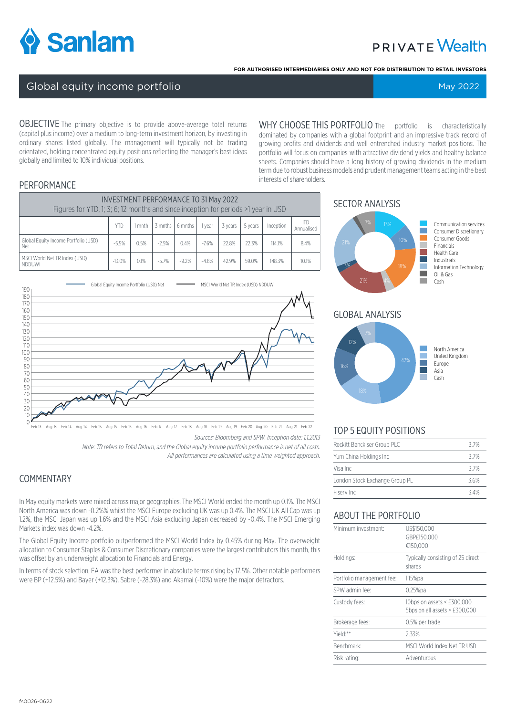

# **PRIVATE Wealth**

**FOR AUTHORISED INTERMEDIARIES ONLY AND NOT FOR DISTRIBUTION TO RETAIL INVESTORS**

#### Global equity income portfolio May 2022 and the Control of May 2022

OBJECTIVE The primary objective is to provide above-average total returns (capital plus income) over a medium to long-term investment horizon, by investing in ordinary shares listed globally. The management will typically not be trading orientated, holding concentrated equity positions reflecting the manager's best ideas globally and limited to 10% individual positions.

WHY CHOOSE THIS PORTFOLIO The portfolio is characteristically dominated by companies with a global footprint and an impressive track record of growing profits and dividends and well entrenched industry market positions. The portfolio will focus on companies with attractive dividend yields and healthy balance sheets. Companies should have a long history of growing dividends in the medium term due to robust business models and prudent management teams acting in the best interests of shareholders.

#### **PERFORMANCE**

| <b>INVESTMENT PERFORMANCE TO 31 May 2022</b><br>Figures for YTD, 1; 3; 6; 12 months and since inception for periods >1 year in USD |          |        |         |         |         |         |         |           |                          |
|------------------------------------------------------------------------------------------------------------------------------------|----------|--------|---------|---------|---------|---------|---------|-----------|--------------------------|
|                                                                                                                                    | YTD      | I mnth | 3 mnths | 6 mnths | vear    | 3 years | 5 years | Inception | <b>ITD</b><br>Annualised |
| Global Equity Income Portfolio (USD)<br>Net                                                                                        | $-5.5%$  | 0.5%   | $-2.5%$ | 0.4%    | $-7.6%$ | 22.8%   | 22.3%   | 114.1%    | 8.4%                     |
| MSCI World Net TR Index (USD)<br>NDDUWI                                                                                            | $-13.0%$ | 0.1%   | $-5.7%$ | $-9.2%$ | $-4.8%$ | 42.9%   | 59.0%   | 148.3%    | 10.1%                    |



*Sources: Bloomberg and SPW. Inception date: 1.1.2013* Feb-13 Aug-13 Feb-14 Aug-14 Feb-15 Aug-15 Feb-16 Aug-16 Feb-17 Aug-17 Feb-18 Aug-18 Feb-19 Aug-19 Feb-20 Aug-20 Feb-21 Aug-21 Feb-22

> *Note: TR refers to Total Return, and the Global equity income portfolio performance is net of all costs. All performances are calculated using a time weighted approach.*

# COMMENTARY

In May equity markets were mixed across major geographies. The MSCI World ended the month up 0.1%. The MSCI North America was down -0.2%% whilst the MSCI Europe excluding UK was up 0.4%. The MSCI UK All Cap was up 1.2%, the MSCI Japan was up 1.6% and the MSCI Asia excluding Japan decreased by -0.4%. The MSCI Emerging Markets index was down -4.2%.

The Global Equity Income portfolio outperformed the MSCI World Index by 0.45% during May. The overweight allocation to Consumer Staples & Consumer Discretionary companies were the largest contributors this month, this was offset by an underweight allocation to Financials and Energy.

In terms of stock selection, EA was the best performer in absolute terms rising by 17.5%. Other notable performers were BP (+12.5%) and Bayer (+12.3%). Sabre (-28.3%) and Akamai (-10%) were the major detractors.

#### SECTOR ANALYSIS



#### GLOBAL ANALYSIS



# TOP 5 EQUITY POSITIONS

| Reckitt Benckiser Group PLC    | 37%  |
|--------------------------------|------|
| Yum China Holdings Inc         | 37%  |
| Visa Inc                       | 37%  |
| London Stock Exchange Group PL | 3.6% |
| Fiserv Inc                     | 34%  |

## ABOUT THE PORTFOLIO

| Minimum investment:       | US\$150,000<br>GBP£150.000<br>€150.000                      |
|---------------------------|-------------------------------------------------------------|
| Holdings:                 | Typically consisting of 25 direct<br>shares                 |
| Portfolio management fee: | $1.15\%$ pa                                                 |
| SPW admin fee:            | $0.25%$ pa                                                  |
| Custody fees:             | 10bps on assets < £300,000<br>5bps on all assets > £300,000 |
| Brokerage fees:           | 0.5% per trade                                              |
| Yield:**                  | 2.33%                                                       |
| Benchmark:                | MSCI World Index Net TR USD                                 |
| Risk rating:              | Adventurous                                                 |